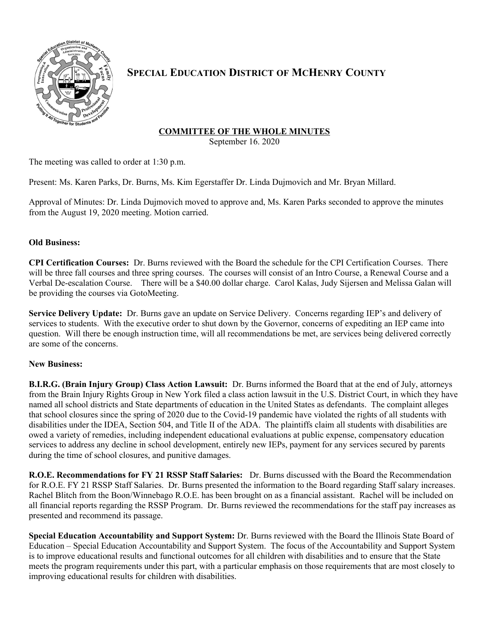

# **SPECIAL EDUCATION DISTRICT OF MCHENRY COUNTY**

## **COMMITTEE OF THE WHOLE MINUTES**

September 16. 2020

The meeting was called to order at 1:30 p.m.

Present: Ms. Karen Parks, Dr. Burns, Ms. Kim Egerstaffer Dr. Linda Dujmovich and Mr. Bryan Millard.

Approval of Minutes: Dr. Linda Dujmovich moved to approve and, Ms. Karen Parks seconded to approve the minutes from the August 19, 2020 meeting. Motion carried.

## **Old Business:**

**CPI Certification Courses:** Dr. Burns reviewed with the Board the schedule for the CPI Certification Courses. There will be three fall courses and three spring courses. The courses will consist of an Intro Course, a Renewal Course and a Verbal De-escalation Course. There will be a \$40.00 dollar charge. Carol Kalas, Judy Sijersen and Melissa Galan will be providing the courses via GotoMeeting.

**Service Delivery Update:** Dr. Burns gave an update on Service Delivery. Concerns regarding IEP's and delivery of services to students. With the executive order to shut down by the Governor, concerns of expediting an IEP came into question. Will there be enough instruction time, will all recommendations be met, are services being delivered correctly are some of the concerns.

## **New Business:**

**B.I.R.G. (Brain Injury Group) Class Action Lawsuit:** Dr. Burns informed the Board that at the end of July, attorneys from the Brain Injury Rights Group in New York filed a class action lawsuit in the U.S. District Court, in which they have named all school districts and State departments of education in the United States as defendants. The complaint alleges that school closures since the spring of 2020 due to the Covid-19 pandemic have violated the rights of all students with disabilities under the IDEA, Section 504, and Title II of the ADA. The plaintiffs claim all students with disabilities are owed a variety of remedies, including independent educational evaluations at public expense, compensatory education services to address any decline in school development, entirely new IEPs, payment for any services secured by parents during the time of school closures, and punitive damages.

**R.O.E. Recommendations for FY 21 RSSP Staff Salaries:** Dr. Burns discussed with the Board the Recommendation for R.O.E. FY 21 RSSP Staff Salaries. Dr. Burns presented the information to the Board regarding Staff salary increases. Rachel Blitch from the Boon/Winnebago R.O.E. has been brought on as a financial assistant. Rachel will be included on all financial reports regarding the RSSP Program. Dr. Burns reviewed the recommendations for the staff pay increases as presented and recommend its passage.

**Special Education Accountability and Support System:** Dr. Burns reviewed with the Board the Illinois State Board of Education – Special Education Accountability and Support System. The focus of the Accountability and Support System is to improve educational results and functional outcomes for all children with disabilities and to ensure that the State meets the program requirements under this part, with a particular emphasis on those requirements that are most closely to improving educational results for children with disabilities.